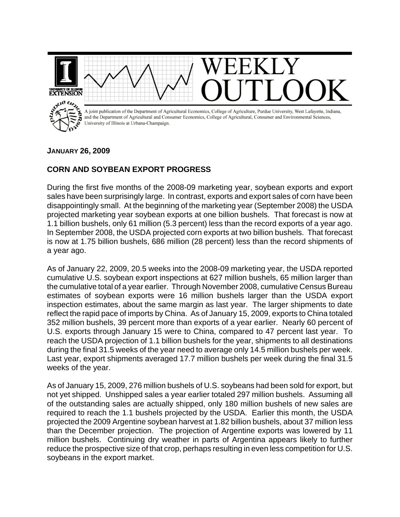

## **JANUARY 26, 2009**

## **CORN AND SOYBEAN EXPORT PROGRESS**

During the first five months of the 2008-09 marketing year, soybean exports and export sales have been surprisingly large. In contrast, exports and export sales of corn have been disappointingly small. At the beginning of the marketing year (September 2008) the USDA projected marketing year soybean exports at one billion bushels. That forecast is now at 1.1 billion bushels, only 61 million (5.3 percent) less than the record exports of a year ago. In September 2008, the USDA projected corn exports at two billion bushels. That forecast is now at 1.75 billion bushels, 686 million (28 percent) less than the record shipments of a year ago.

As of January 22, 2009, 20.5 weeks into the 2008-09 marketing year, the USDA reported cumulative U.S. soybean export inspections at 627 million bushels, 65 million larger than the cumulative total of a year earlier. Through November 2008, cumulative Census Bureau estimates of soybean exports were 16 million bushels larger than the USDA export inspection estimates, about the same margin as last year. The larger shipments to date reflect the rapid pace of imports by China. As of January 15, 2009, exports to China totaled 352 million bushels, 39 percent more than exports of a year earlier. Nearly 60 percent of U.S. exports through January 15 were to China, compared to 47 percent last year. To reach the USDA projection of 1.1 billion bushels for the year, shipments to all destinations during the final 31.5 weeks of the year need to average only 14.5 million bushels per week. Last year, export shipments averaged 17.7 million bushels per week during the final 31.5 weeks of the year.

As of January 15, 2009, 276 million bushels of U.S. soybeans had been sold for export, but not yet shipped. Unshipped sales a year earlier totaled 297 million bushels. Assuming all of the outstanding sales are actually shipped, only 180 million bushels of new sales are required to reach the 1.1 bushels projected by the USDA. Earlier this month, the USDA projected the 2009 Argentine soybean harvest at 1.82 billion bushels, about 37 million less than the December projection. The projection of Argentine exports was lowered by 11 million bushels. Continuing dry weather in parts of Argentina appears likely to further reduce the prospective size of that crop, perhaps resulting in even less competition for U.S. soybeans in the export market.